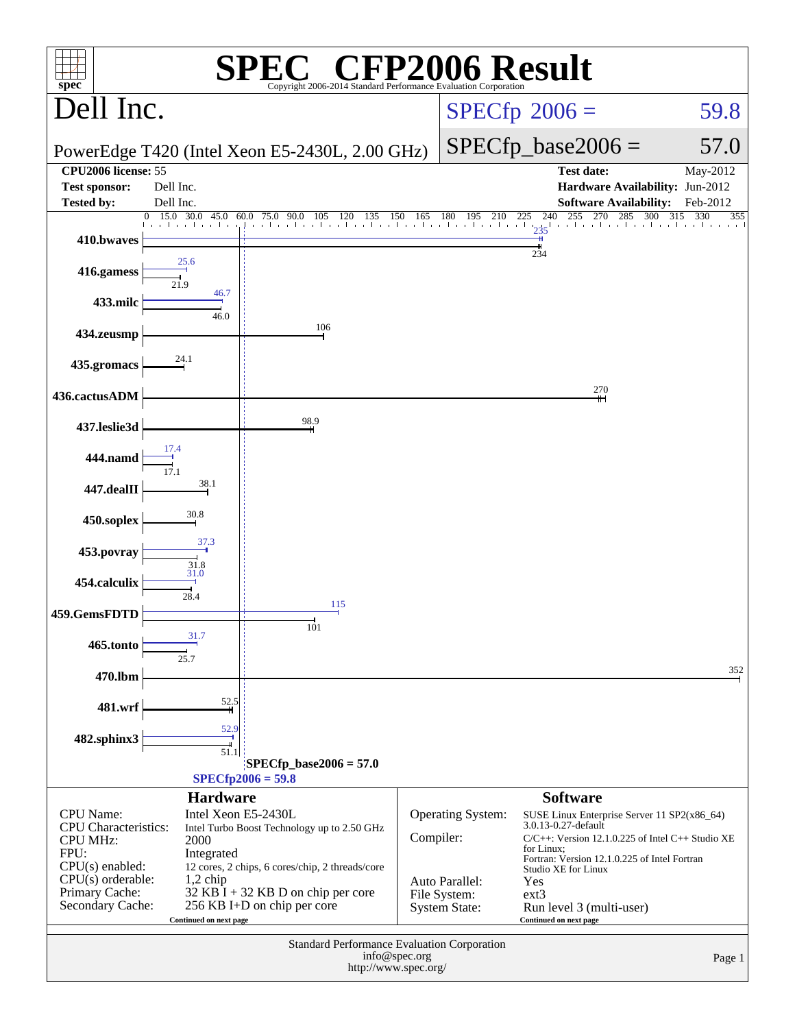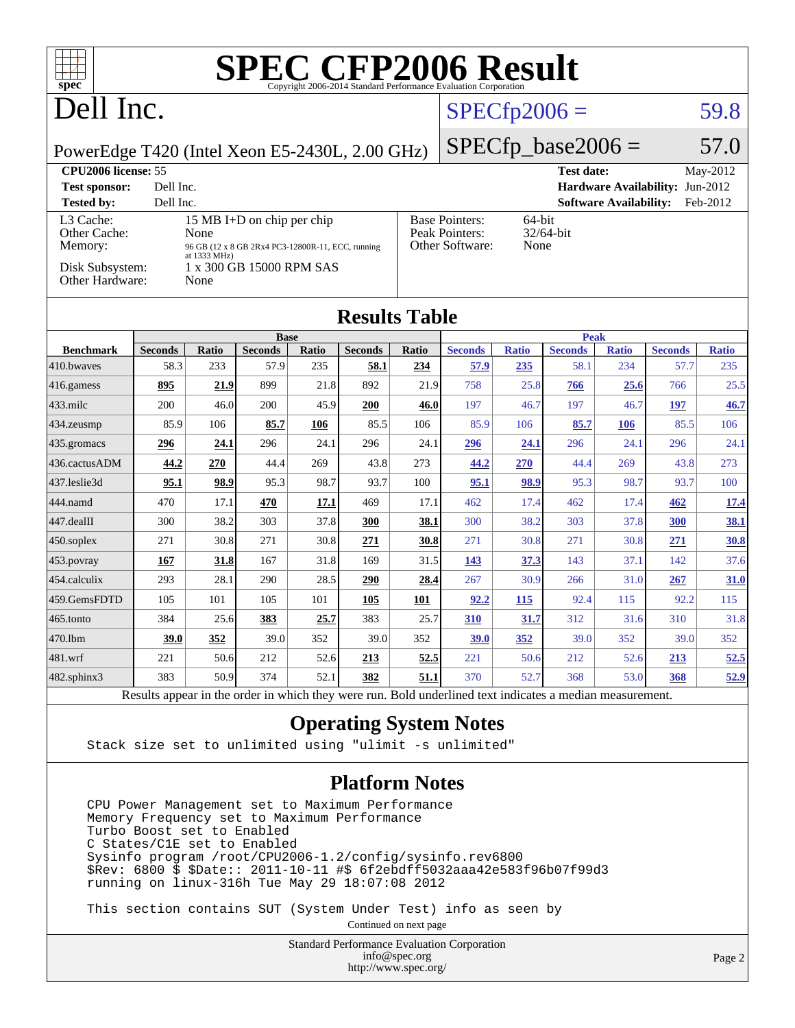# Dell Inc.

# $SPECfp2006 = 59.8$  $SPECfp2006 = 59.8$

PowerEdge T420 (Intel Xeon E5-2430L, 2.00 GHz)

 $SPECfp\_base2006 = 57.0$ 

| CPU <sub>2006</sub> license: 55      |                                                                                                                    |                                                            | <b>Test date:</b><br>May-2012             |
|--------------------------------------|--------------------------------------------------------------------------------------------------------------------|------------------------------------------------------------|-------------------------------------------|
| <b>Test sponsor:</b>                 | Dell Inc.                                                                                                          |                                                            | <b>Hardware Availability: Jun-2012</b>    |
| <b>Tested by:</b>                    | Dell Inc.                                                                                                          |                                                            | <b>Software Availability:</b><br>Feb-2012 |
| L3 Cache:<br>Other Cache:<br>Memory: | 15 MB I+D on chip per chip<br>None<br>96 GB (12 x 8 GB 2Rx4 PC3-12800R-11, ECC, running<br>at $1333 \text{ MHz}$ ) | <b>Base Pointers:</b><br>Peak Pointers:<br>Other Software: | 64-bit<br>$32/64$ -bit<br>None            |
| Disk Subsystem:<br>Other Hardware:   | 1 x 300 GB 15000 RPM SAS<br>None                                                                                   |                                                            |                                           |

| Other Hardware:   |                | <b>INOIIE</b> |                |       |                      |       |                |              |                |              |                |              |
|-------------------|----------------|---------------|----------------|-------|----------------------|-------|----------------|--------------|----------------|--------------|----------------|--------------|
|                   |                |               |                |       | <b>Results Table</b> |       |                |              |                |              |                |              |
|                   |                |               | <b>Base</b>    |       |                      |       | <b>Peak</b>    |              |                |              |                |              |
| <b>Benchmark</b>  | <b>Seconds</b> | Ratio         | <b>Seconds</b> | Ratio | <b>Seconds</b>       | Ratio | <b>Seconds</b> | <b>Ratio</b> | <b>Seconds</b> | <b>Ratio</b> | <b>Seconds</b> | <b>Ratio</b> |
| 410.bwaves        | 58.3           | 233           | 57.9           | 235   | 58.1                 | 234   | 57.9           | 235          | 58.1           | 234          | 57.7           | 235          |
| 416.gamess        | 895            | 21.9          | 899            | 21.8  | 892                  | 21.9  | 758            | 25.8         | 766            | 25.6         | 766            | 25.5         |
| 433.milc          | 200            | 46.0          | 200            | 45.9  | 200                  | 46.0  | 197            | 46.7         | 197            | 46.7         | 197            | 46.7         |
| $434$ . zeusmp    | 85.9           | 106           | 85.7           | 106   | 85.5                 | 106   | 85.9           | 106          | 85.7           | 106          | 85.5           | 106          |
| $435$ .gromacs    | 296            | 24.1          | 296            | 24.1  | 296                  | 24.1  | 296            | 24.1         | 296            | 24.1         | 296            | 24.1         |
| 436.cactusADM     | 44.2           | 270           | 44.4           | 269   | 43.8                 | 273   | 44.2           | 270          | 44.4           | 269          | 43.8           | 273          |
| 437.leslie3d      | 95.1           | 98.9          | 95.3           | 98.7  | 93.7                 | 100   | 95.1           | 98.9         | 95.3           | 98.7         | 93.7           | 100          |
| 444.namd          | 470            | 17.1          | 470            | 17.1  | 469                  | 17.1  | 462            | 17.4         | 462            | 17.4         | 462            | 17.4         |
| $447$ .dealII     | 300            | 38.2          | 303            | 37.8  | 300                  | 38.1  | 300            | 38.2         | 303            | 37.8         | 300            | <u>38.1</u>  |
| $450$ .soplex     | 271            | 30.8          | 271            | 30.8  | 271                  | 30.8  | 271            | 30.8         | 271            | 30.8         | 271            | 30.8         |
| 453.povray        | 167            | 31.8          | 167            | 31.8  | 169                  | 31.5  | 143            | 37.3         | 143            | 37.1         | 142            | 37.6         |
| 454.calculix      | 293            | 28.1          | 290            | 28.5  | 290                  | 28.4  | 267            | 30.9         | 266            | 31.0         | 267            | 31.0         |
| 459.GemsFDTD      | 105            | 101           | 105            | 101   | 105                  | 101   | 92.2           | 115          | 92.4           | 115          | 92.2           | 115          |
| $465$ .tonto      | 384            | 25.6          | 383            | 25.7  | 383                  | 25.7  | 310            | 31.7         | 312            | 31.6         | 310            | 31.8         |
| 470.1bm           | 39.0           | 352           | 39.0           | 352   | 39.0                 | 352   | 39.0           | 352          | 39.0           | 352          | 39.0           | 352          |
| 481.wrf           | 221            | 50.6          | 212            | 52.6  | 213                  | 52.5  | 221            | 50.6         | 212            | 52.6         | 213            | 52.5         |
| $482$ .sphinx $3$ | 383            | 50.9          | 374            | 52.1  | 382                  | 51.1  | 370            | 52.7         | 368            | 53.0         | 368            | 52.9         |

Results appear in the [order in which they were run.](http://www.spec.org/auto/cpu2006/Docs/result-fields.html#RunOrder) Bold underlined text [indicates a median measurement.](http://www.spec.org/auto/cpu2006/Docs/result-fields.html#Median)

### **[Operating System Notes](http://www.spec.org/auto/cpu2006/Docs/result-fields.html#OperatingSystemNotes)**

Stack size set to unlimited using "ulimit -s unlimited"

### **[Platform Notes](http://www.spec.org/auto/cpu2006/Docs/result-fields.html#PlatformNotes)**

 CPU Power Management set to Maximum Performance Memory Frequency set to Maximum Performance Turbo Boost set to Enabled C States/C1E set to Enabled Sysinfo program /root/CPU2006-1.2/config/sysinfo.rev6800 \$Rev: 6800 \$ \$Date:: 2011-10-11 #\$ 6f2ebdff5032aaa42e583f96b07f99d3 running on linux-316h Tue May 29 18:07:08 2012

This section contains SUT (System Under Test) info as seen by

Continued on next page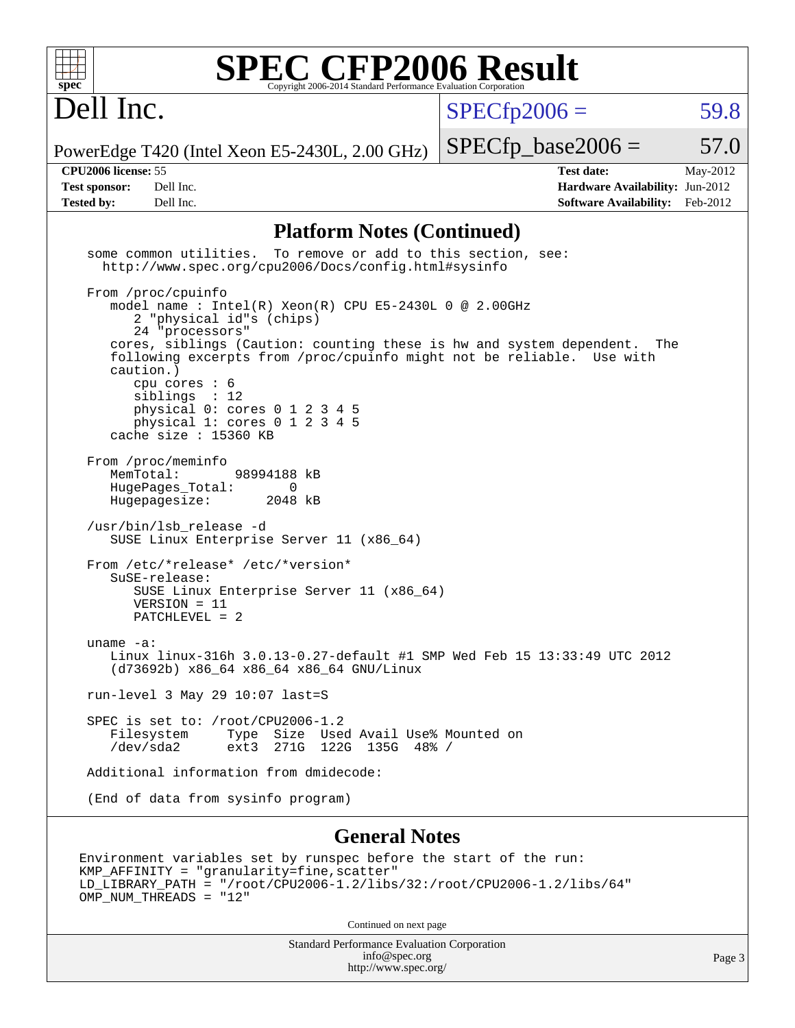

Dell Inc.

 $SPECTp2006 = 59.8$ 

PowerEdge T420 (Intel Xeon E5-2430L, 2.00 GHz)

**[Tested by:](http://www.spec.org/auto/cpu2006/Docs/result-fields.html#Testedby)** Dell Inc. **[Software Availability:](http://www.spec.org/auto/cpu2006/Docs/result-fields.html#SoftwareAvailability)** Feb-2012

**[CPU2006 license:](http://www.spec.org/auto/cpu2006/Docs/result-fields.html#CPU2006license)** 55 **[Test date:](http://www.spec.org/auto/cpu2006/Docs/result-fields.html#Testdate)** May-2012 **[Test sponsor:](http://www.spec.org/auto/cpu2006/Docs/result-fields.html#Testsponsor)** Dell Inc. **[Hardware Availability:](http://www.spec.org/auto/cpu2006/Docs/result-fields.html#HardwareAvailability)** Jun-2012

 $SPECTp\_base2006 = 57.0$ 

### **[Platform Notes \(Continued\)](http://www.spec.org/auto/cpu2006/Docs/result-fields.html#PlatformNotes)**

 some common utilities. To remove or add to this section, see: <http://www.spec.org/cpu2006/Docs/config.html#sysinfo> From /proc/cpuinfo model name : Intel(R) Xeon(R) CPU E5-2430L 0 @ 2.00GHz 2 "physical id"s (chips) 24 "processors" cores, siblings (Caution: counting these is hw and system dependent. The following excerpts from /proc/cpuinfo might not be reliable. Use with caution.) cpu cores : 6 siblings : 12 physical 0: cores 0 1 2 3 4 5 physical 1: cores 0 1 2 3 4 5 cache size : 15360 KB From /proc/meminfo MemTotal: 98994188 kB HugePages\_Total: 0<br>Hugepagesize: 2048 kB Hugepagesize: /usr/bin/lsb\_release -d SUSE Linux Enterprise Server 11 (x86\_64) From /etc/\*release\* /etc/\*version\* SuSE-release: SUSE Linux Enterprise Server 11 (x86\_64) VERSION = 11 PATCHLEVEL = 2 uname -a: Linux linux-316h 3.0.13-0.27-default #1 SMP Wed Feb 15 13:33:49 UTC 2012 (d73692b) x86\_64 x86\_64 x86\_64 GNU/Linux run-level 3 May 29 10:07 last=S SPEC is set to: /root/CPU2006-1.2<br>Filesystem Type Size Use Filesystem Type Size Used Avail Use% Mounted on /dev/sda2 ext3 271G 122G 135G 48% / Additional information from dmidecode: (End of data from sysinfo program) **[General Notes](http://www.spec.org/auto/cpu2006/Docs/result-fields.html#GeneralNotes)**

Environment variables set by runspec before the start of the run: KMP\_AFFINITY = "granularity=fine,scatter" LD\_LIBRARY\_PATH = "/root/CPU2006-1.2/libs/32:/root/CPU2006-1.2/libs/64" OMP NUM THREADS = "12"

Continued on next page

Standard Performance Evaluation Corporation [info@spec.org](mailto:info@spec.org) <http://www.spec.org/>

Page 3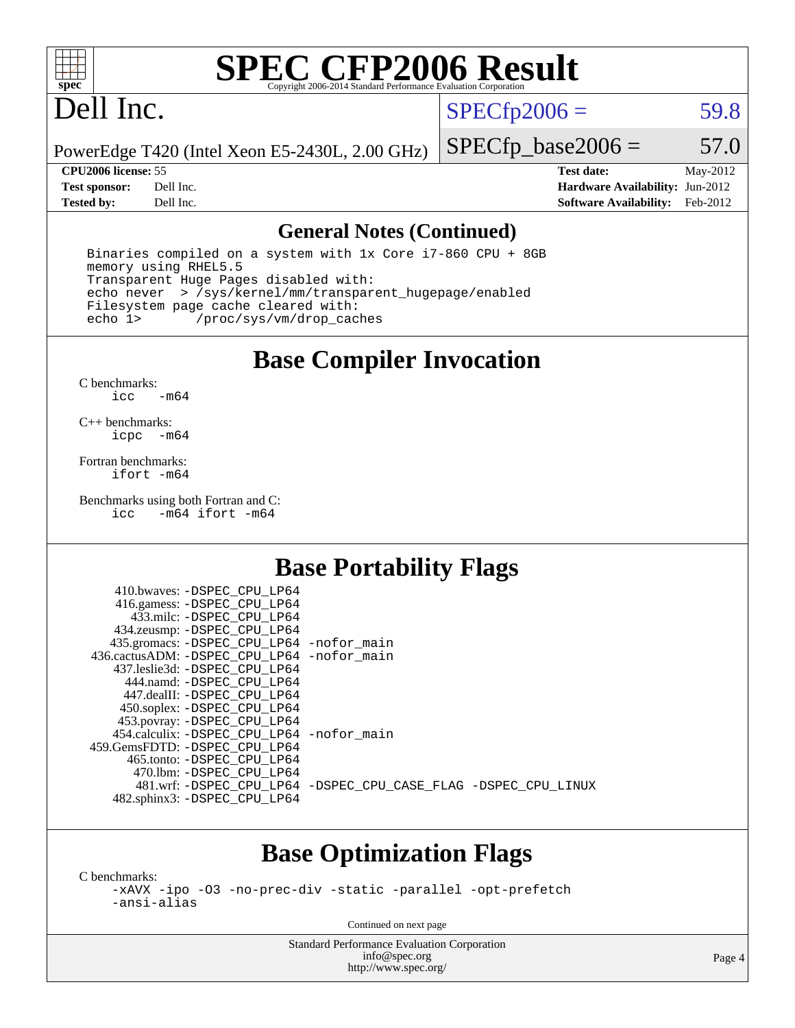

# Dell Inc.

 $SPECTp2006 = 59.8$ 

PowerEdge T420 (Intel Xeon E5-2430L, 2.00 GHz)

### **[CPU2006 license:](http://www.spec.org/auto/cpu2006/Docs/result-fields.html#CPU2006license)** 55 **[Test date:](http://www.spec.org/auto/cpu2006/Docs/result-fields.html#Testdate)** May-2012

 $SPECfp\_base2006 = 57.0$ 

**[Test sponsor:](http://www.spec.org/auto/cpu2006/Docs/result-fields.html#Testsponsor)** Dell Inc. **[Hardware Availability:](http://www.spec.org/auto/cpu2006/Docs/result-fields.html#HardwareAvailability)** Jun-2012 **[Tested by:](http://www.spec.org/auto/cpu2006/Docs/result-fields.html#Testedby)** Dell Inc. **[Software Availability:](http://www.spec.org/auto/cpu2006/Docs/result-fields.html#SoftwareAvailability)** Feb-2012

### **[General Notes \(Continued\)](http://www.spec.org/auto/cpu2006/Docs/result-fields.html#GeneralNotes)**

 Binaries compiled on a system with 1x Core i7-860 CPU + 8GB memory using RHEL5.5 Transparent Huge Pages disabled with: echo never > /sys/kernel/mm/transparent\_hugepage/enabled Filesystem page cache cleared with:<br>echo 1> /proc/sys/vm/drop cac /proc/sys/vm/drop\_caches

## **[Base Compiler Invocation](http://www.spec.org/auto/cpu2006/Docs/result-fields.html#BaseCompilerInvocation)**

[C benchmarks](http://www.spec.org/auto/cpu2006/Docs/result-fields.html#Cbenchmarks):  $\text{icc}$   $-\text{m64}$ 

[C++ benchmarks:](http://www.spec.org/auto/cpu2006/Docs/result-fields.html#CXXbenchmarks) [icpc -m64](http://www.spec.org/cpu2006/results/res2012q3/cpu2006-20120703-23422.flags.html#user_CXXbase_intel_icpc_64bit_bedb90c1146cab66620883ef4f41a67e)

[Fortran benchmarks](http://www.spec.org/auto/cpu2006/Docs/result-fields.html#Fortranbenchmarks): [ifort -m64](http://www.spec.org/cpu2006/results/res2012q3/cpu2006-20120703-23422.flags.html#user_FCbase_intel_ifort_64bit_ee9d0fb25645d0210d97eb0527dcc06e)

[Benchmarks using both Fortran and C](http://www.spec.org/auto/cpu2006/Docs/result-fields.html#BenchmarksusingbothFortranandC):<br>icc -m64 ifort -m64  $-m64$  ifort  $-m64$ 

## **[Base Portability Flags](http://www.spec.org/auto/cpu2006/Docs/result-fields.html#BasePortabilityFlags)**

| 410.bwaves: -DSPEC CPU LP64                  |                                                                |
|----------------------------------------------|----------------------------------------------------------------|
| 416.gamess: -DSPEC_CPU_LP64                  |                                                                |
| 433.milc: -DSPEC CPU LP64                    |                                                                |
| 434.zeusmp: - DSPEC_CPU_LP64                 |                                                                |
| 435.gromacs: -DSPEC_CPU_LP64 -nofor_main     |                                                                |
| 436.cactusADM: - DSPEC CPU LP64 - nofor main |                                                                |
| 437.leslie3d: -DSPEC CPU LP64                |                                                                |
| 444.namd: - DSPEC CPU LP64                   |                                                                |
| 447.dealII: -DSPEC CPU LP64                  |                                                                |
| 450.soplex: -DSPEC_CPU_LP64                  |                                                                |
| 453.povray: -DSPEC_CPU_LP64                  |                                                                |
| 454.calculix: - DSPEC CPU LP64 - nofor main  |                                                                |
| 459. GemsFDTD: - DSPEC CPU LP64              |                                                                |
| 465.tonto: - DSPEC CPU LP64                  |                                                                |
| 470.1bm: - DSPEC CPU LP64                    |                                                                |
|                                              | 481.wrf: -DSPEC_CPU_LP64 -DSPEC_CPU_CASE_FLAG -DSPEC_CPU_LINUX |
| 482.sphinx3: -DSPEC_CPU_LP64                 |                                                                |
|                                              |                                                                |

## **[Base Optimization Flags](http://www.spec.org/auto/cpu2006/Docs/result-fields.html#BaseOptimizationFlags)**

[C benchmarks](http://www.spec.org/auto/cpu2006/Docs/result-fields.html#Cbenchmarks):

[-xAVX](http://www.spec.org/cpu2006/results/res2012q3/cpu2006-20120703-23422.flags.html#user_CCbase_f-xAVX) [-ipo](http://www.spec.org/cpu2006/results/res2012q3/cpu2006-20120703-23422.flags.html#user_CCbase_f-ipo) [-O3](http://www.spec.org/cpu2006/results/res2012q3/cpu2006-20120703-23422.flags.html#user_CCbase_f-O3) [-no-prec-div](http://www.spec.org/cpu2006/results/res2012q3/cpu2006-20120703-23422.flags.html#user_CCbase_f-no-prec-div) [-static](http://www.spec.org/cpu2006/results/res2012q3/cpu2006-20120703-23422.flags.html#user_CCbase_f-static) [-parallel](http://www.spec.org/cpu2006/results/res2012q3/cpu2006-20120703-23422.flags.html#user_CCbase_f-parallel) [-opt-prefetch](http://www.spec.org/cpu2006/results/res2012q3/cpu2006-20120703-23422.flags.html#user_CCbase_f-opt-prefetch) [-ansi-alias](http://www.spec.org/cpu2006/results/res2012q3/cpu2006-20120703-23422.flags.html#user_CCbase_f-ansi-alias)

Continued on next page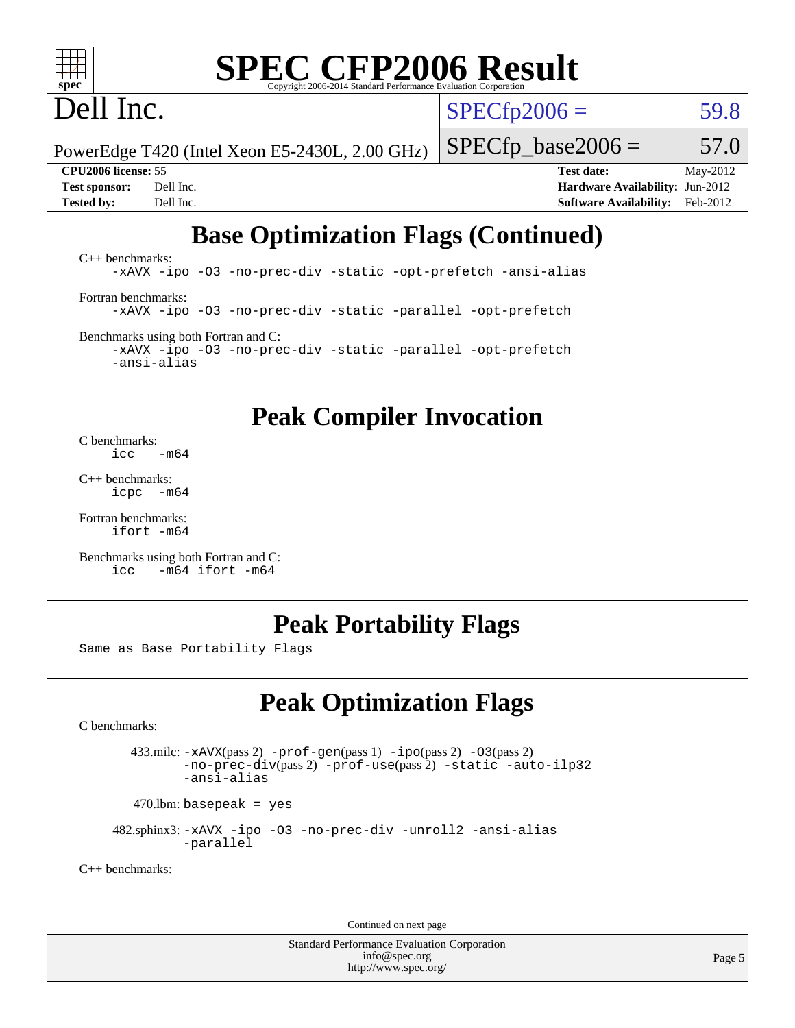

# Dell Inc.

 $SPECfp2006 = 59.8$  $SPECfp2006 = 59.8$ 

PowerEdge T420 (Intel Xeon E5-2430L, 2.00 GHz)

 $SPECfp\_base2006 = 57.0$ 

**[CPU2006 license:](http://www.spec.org/auto/cpu2006/Docs/result-fields.html#CPU2006license)** 55 **[Test date:](http://www.spec.org/auto/cpu2006/Docs/result-fields.html#Testdate)** May-2012 **[Test sponsor:](http://www.spec.org/auto/cpu2006/Docs/result-fields.html#Testsponsor)** Dell Inc. **[Hardware Availability:](http://www.spec.org/auto/cpu2006/Docs/result-fields.html#HardwareAvailability)** Jun-2012 **[Tested by:](http://www.spec.org/auto/cpu2006/Docs/result-fields.html#Testedby)** Dell Inc. **[Software Availability:](http://www.spec.org/auto/cpu2006/Docs/result-fields.html#SoftwareAvailability)** Feb-2012

# **[Base Optimization Flags \(Continued\)](http://www.spec.org/auto/cpu2006/Docs/result-fields.html#BaseOptimizationFlags)**

[C++ benchmarks:](http://www.spec.org/auto/cpu2006/Docs/result-fields.html#CXXbenchmarks) [-xAVX](http://www.spec.org/cpu2006/results/res2012q3/cpu2006-20120703-23422.flags.html#user_CXXbase_f-xAVX) [-ipo](http://www.spec.org/cpu2006/results/res2012q3/cpu2006-20120703-23422.flags.html#user_CXXbase_f-ipo) [-O3](http://www.spec.org/cpu2006/results/res2012q3/cpu2006-20120703-23422.flags.html#user_CXXbase_f-O3) [-no-prec-div](http://www.spec.org/cpu2006/results/res2012q3/cpu2006-20120703-23422.flags.html#user_CXXbase_f-no-prec-div) [-static](http://www.spec.org/cpu2006/results/res2012q3/cpu2006-20120703-23422.flags.html#user_CXXbase_f-static) [-opt-prefetch](http://www.spec.org/cpu2006/results/res2012q3/cpu2006-20120703-23422.flags.html#user_CXXbase_f-opt-prefetch) [-ansi-alias](http://www.spec.org/cpu2006/results/res2012q3/cpu2006-20120703-23422.flags.html#user_CXXbase_f-ansi-alias) [Fortran benchmarks](http://www.spec.org/auto/cpu2006/Docs/result-fields.html#Fortranbenchmarks): [-xAVX](http://www.spec.org/cpu2006/results/res2012q3/cpu2006-20120703-23422.flags.html#user_FCbase_f-xAVX) [-ipo](http://www.spec.org/cpu2006/results/res2012q3/cpu2006-20120703-23422.flags.html#user_FCbase_f-ipo) [-O3](http://www.spec.org/cpu2006/results/res2012q3/cpu2006-20120703-23422.flags.html#user_FCbase_f-O3) [-no-prec-div](http://www.spec.org/cpu2006/results/res2012q3/cpu2006-20120703-23422.flags.html#user_FCbase_f-no-prec-div) [-static](http://www.spec.org/cpu2006/results/res2012q3/cpu2006-20120703-23422.flags.html#user_FCbase_f-static) [-parallel](http://www.spec.org/cpu2006/results/res2012q3/cpu2006-20120703-23422.flags.html#user_FCbase_f-parallel) [-opt-prefetch](http://www.spec.org/cpu2006/results/res2012q3/cpu2006-20120703-23422.flags.html#user_FCbase_f-opt-prefetch) [Benchmarks using both Fortran and C](http://www.spec.org/auto/cpu2006/Docs/result-fields.html#BenchmarksusingbothFortranandC):

[-xAVX](http://www.spec.org/cpu2006/results/res2012q3/cpu2006-20120703-23422.flags.html#user_CC_FCbase_f-xAVX) [-ipo](http://www.spec.org/cpu2006/results/res2012q3/cpu2006-20120703-23422.flags.html#user_CC_FCbase_f-ipo) [-O3](http://www.spec.org/cpu2006/results/res2012q3/cpu2006-20120703-23422.flags.html#user_CC_FCbase_f-O3) [-no-prec-div](http://www.spec.org/cpu2006/results/res2012q3/cpu2006-20120703-23422.flags.html#user_CC_FCbase_f-no-prec-div) [-static](http://www.spec.org/cpu2006/results/res2012q3/cpu2006-20120703-23422.flags.html#user_CC_FCbase_f-static) [-parallel](http://www.spec.org/cpu2006/results/res2012q3/cpu2006-20120703-23422.flags.html#user_CC_FCbase_f-parallel) [-opt-prefetch](http://www.spec.org/cpu2006/results/res2012q3/cpu2006-20120703-23422.flags.html#user_CC_FCbase_f-opt-prefetch) [-ansi-alias](http://www.spec.org/cpu2006/results/res2012q3/cpu2006-20120703-23422.flags.html#user_CC_FCbase_f-ansi-alias)

# **[Peak Compiler Invocation](http://www.spec.org/auto/cpu2006/Docs/result-fields.html#PeakCompilerInvocation)**

[C benchmarks](http://www.spec.org/auto/cpu2006/Docs/result-fields.html#Cbenchmarks):  $\frac{1}{2}$ cc  $-\text{m64}$ 

[C++ benchmarks:](http://www.spec.org/auto/cpu2006/Docs/result-fields.html#CXXbenchmarks) [icpc -m64](http://www.spec.org/cpu2006/results/res2012q3/cpu2006-20120703-23422.flags.html#user_CXXpeak_intel_icpc_64bit_bedb90c1146cab66620883ef4f41a67e)

[Fortran benchmarks](http://www.spec.org/auto/cpu2006/Docs/result-fields.html#Fortranbenchmarks): [ifort -m64](http://www.spec.org/cpu2006/results/res2012q3/cpu2006-20120703-23422.flags.html#user_FCpeak_intel_ifort_64bit_ee9d0fb25645d0210d97eb0527dcc06e)

[Benchmarks using both Fortran and C](http://www.spec.org/auto/cpu2006/Docs/result-fields.html#BenchmarksusingbothFortranandC): [icc -m64](http://www.spec.org/cpu2006/results/res2012q3/cpu2006-20120703-23422.flags.html#user_CC_FCpeak_intel_icc_64bit_0b7121f5ab7cfabee23d88897260401c) [ifort -m64](http://www.spec.org/cpu2006/results/res2012q3/cpu2006-20120703-23422.flags.html#user_CC_FCpeak_intel_ifort_64bit_ee9d0fb25645d0210d97eb0527dcc06e)

## **[Peak Portability Flags](http://www.spec.org/auto/cpu2006/Docs/result-fields.html#PeakPortabilityFlags)**

Same as Base Portability Flags

# **[Peak Optimization Flags](http://www.spec.org/auto/cpu2006/Docs/result-fields.html#PeakOptimizationFlags)**

[C benchmarks](http://www.spec.org/auto/cpu2006/Docs/result-fields.html#Cbenchmarks):

 433.milc: [-xAVX](http://www.spec.org/cpu2006/results/res2012q3/cpu2006-20120703-23422.flags.html#user_peakPASS2_CFLAGSPASS2_LDFLAGS433_milc_f-xAVX)(pass 2) [-prof-gen](http://www.spec.org/cpu2006/results/res2012q3/cpu2006-20120703-23422.flags.html#user_peakPASS1_CFLAGSPASS1_LDFLAGS433_milc_prof_gen_e43856698f6ca7b7e442dfd80e94a8fc)(pass 1) [-ipo](http://www.spec.org/cpu2006/results/res2012q3/cpu2006-20120703-23422.flags.html#user_peakPASS2_CFLAGSPASS2_LDFLAGS433_milc_f-ipo)(pass 2) [-O3](http://www.spec.org/cpu2006/results/res2012q3/cpu2006-20120703-23422.flags.html#user_peakPASS2_CFLAGSPASS2_LDFLAGS433_milc_f-O3)(pass 2) [-no-prec-div](http://www.spec.org/cpu2006/results/res2012q3/cpu2006-20120703-23422.flags.html#user_peakPASS2_CFLAGSPASS2_LDFLAGS433_milc_f-no-prec-div)(pass 2) [-prof-use](http://www.spec.org/cpu2006/results/res2012q3/cpu2006-20120703-23422.flags.html#user_peakPASS2_CFLAGSPASS2_LDFLAGS433_milc_prof_use_bccf7792157ff70d64e32fe3e1250b55)(pass 2) [-static](http://www.spec.org/cpu2006/results/res2012q3/cpu2006-20120703-23422.flags.html#user_peakOPTIMIZE433_milc_f-static) [-auto-ilp32](http://www.spec.org/cpu2006/results/res2012q3/cpu2006-20120703-23422.flags.html#user_peakCOPTIMIZE433_milc_f-auto-ilp32) [-ansi-alias](http://www.spec.org/cpu2006/results/res2012q3/cpu2006-20120703-23422.flags.html#user_peakCOPTIMIZE433_milc_f-ansi-alias)

 $470.$ lbm: basepeak = yes

 482.sphinx3: [-xAVX](http://www.spec.org/cpu2006/results/res2012q3/cpu2006-20120703-23422.flags.html#user_peakOPTIMIZE482_sphinx3_f-xAVX) [-ipo](http://www.spec.org/cpu2006/results/res2012q3/cpu2006-20120703-23422.flags.html#user_peakOPTIMIZE482_sphinx3_f-ipo) [-O3](http://www.spec.org/cpu2006/results/res2012q3/cpu2006-20120703-23422.flags.html#user_peakOPTIMIZE482_sphinx3_f-O3) [-no-prec-div](http://www.spec.org/cpu2006/results/res2012q3/cpu2006-20120703-23422.flags.html#user_peakOPTIMIZE482_sphinx3_f-no-prec-div) [-unroll2](http://www.spec.org/cpu2006/results/res2012q3/cpu2006-20120703-23422.flags.html#user_peakCOPTIMIZE482_sphinx3_f-unroll_784dae83bebfb236979b41d2422d7ec2) [-ansi-alias](http://www.spec.org/cpu2006/results/res2012q3/cpu2006-20120703-23422.flags.html#user_peakCOPTIMIZE482_sphinx3_f-ansi-alias) [-parallel](http://www.spec.org/cpu2006/results/res2012q3/cpu2006-20120703-23422.flags.html#user_peakCOPTIMIZE482_sphinx3_f-parallel)

[C++ benchmarks:](http://www.spec.org/auto/cpu2006/Docs/result-fields.html#CXXbenchmarks)

Continued on next page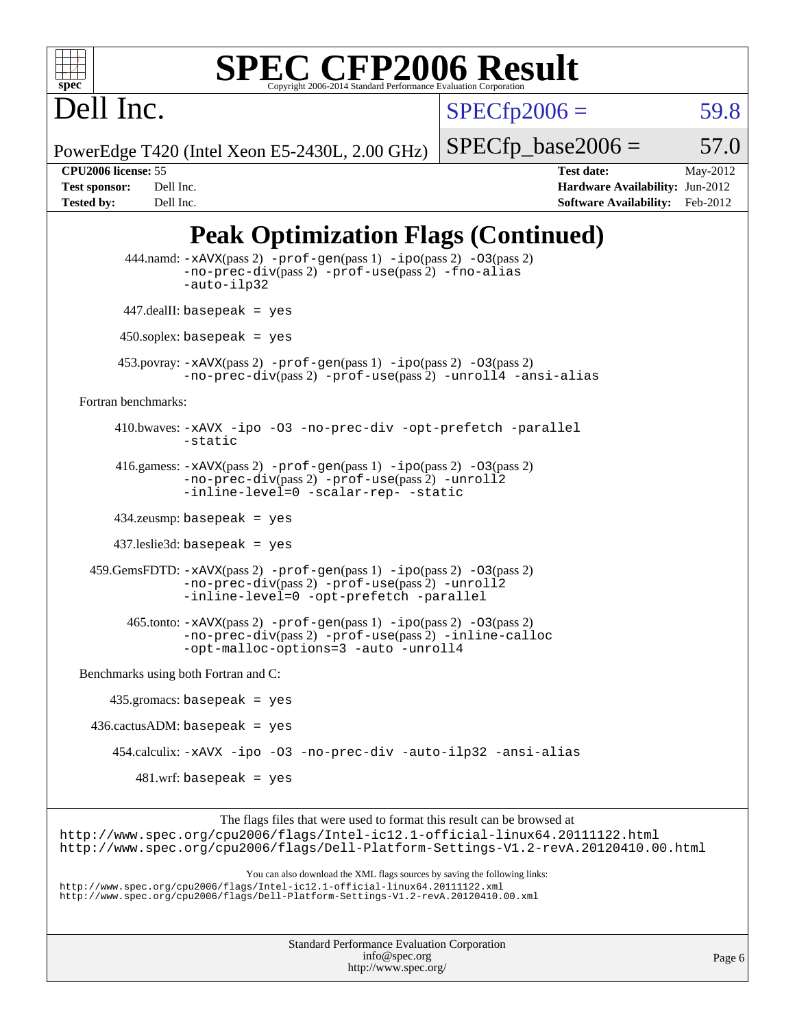

 $SPECfp2006 = 59.8$  $SPECfp2006 = 59.8$ 

PowerEdge T420 (Intel Xeon E5-2430L, 2.00 GHz)

 $SPECTp\_base2006 = 57.0$ 

Dell Inc.

**[CPU2006 license:](http://www.spec.org/auto/cpu2006/Docs/result-fields.html#CPU2006license)** 55 **[Test date:](http://www.spec.org/auto/cpu2006/Docs/result-fields.html#Testdate)** May-2012 **[Test sponsor:](http://www.spec.org/auto/cpu2006/Docs/result-fields.html#Testsponsor)** Dell Inc. **[Hardware Availability:](http://www.spec.org/auto/cpu2006/Docs/result-fields.html#HardwareAvailability)** Jun-2012 **[Tested by:](http://www.spec.org/auto/cpu2006/Docs/result-fields.html#Testedby)** Dell Inc. **[Software Availability:](http://www.spec.org/auto/cpu2006/Docs/result-fields.html#SoftwareAvailability)** Feb-2012

# **[Peak Optimization Flags \(Continued\)](http://www.spec.org/auto/cpu2006/Docs/result-fields.html#PeakOptimizationFlags)**

```
 444.namd: -xAVX(pass 2) -prof-gen(pass 1) -ipo(pass 2) -O3(pass 2)
                   -no-prec-div(pass 2) -prof-use(pass 2) -fno-alias
                   -auto-ilp32
          447.dealII: basepeak = yes
          450.soplex: basepeak = yes
         453.povray: -xAVX(pass 2) -prof-gen(pass 1) -ipo(pass 2) -O3(pass 2)
                   -no-prec-div(pass 2) -prof-use(pass 2) -unroll4 -ansi-alias
  Fortran benchmarks: 
         410.bwaves: -xAVX -ipo -O3 -no-prec-div -opt-prefetch -parallel
                   -static
         416.gamess: -xAVX(pass 2) -prof-gen(pass 1) -ipo(pass 2) -O3(pass 2)
                   -no-prec-div(pass 2) -prof-use(pass 2) -unroll2
                   -inline-level=0-scalar-rep--static
         434.zeusmp: basepeak = yes
         437.leslie3d: basepeak = yes
     459.GemsFDTD: -xAVX(pass 2) -prof-gen(pass 1) -ipo(pass 2) -O3(pass 2)
                   -no-prec-div(pass 2) -prof-use(pass 2) -unroll2
                   -inline-level=0 -opt-prefetch -parallel
           465.tonto: -xAVX(pass 2) -prof-gen(pass 1) -ipo(pass 2) -O3(pass 2)
                   -no-prec-div(pass 2) -prof-use(pass 2) -inline-calloc
                   -opt-malloc-options=3-auto-unroll4
   Benchmarks using both Fortran and C: 
        435.gromacs: basepeak = yes
    436.cactusADM: basepeak = yes
         454.calculix: -xAVX -ipo -O3 -no-prec-div -auto-ilp32 -ansi-alias
            481.wrf: basepeak = yes
                        The flags files that were used to format this result can be browsed at
http://www.spec.org/cpu2006/flags/Intel-ic12.1-official-linux64.20111122.html
http://www.spec.org/cpu2006/flags/Dell-Platform-Settings-V1.2-revA.20120410.00.html
                            You can also download the XML flags sources by saving the following links:
```
<http://www.spec.org/cpu2006/flags/Intel-ic12.1-official-linux64.20111122.xml> <http://www.spec.org/cpu2006/flags/Dell-Platform-Settings-V1.2-revA.20120410.00.xml>

| <b>Standard Performance Evaluation Corporation</b> |
|----------------------------------------------------|
| info@spec.org                                      |
| http://www.spec.org/                               |